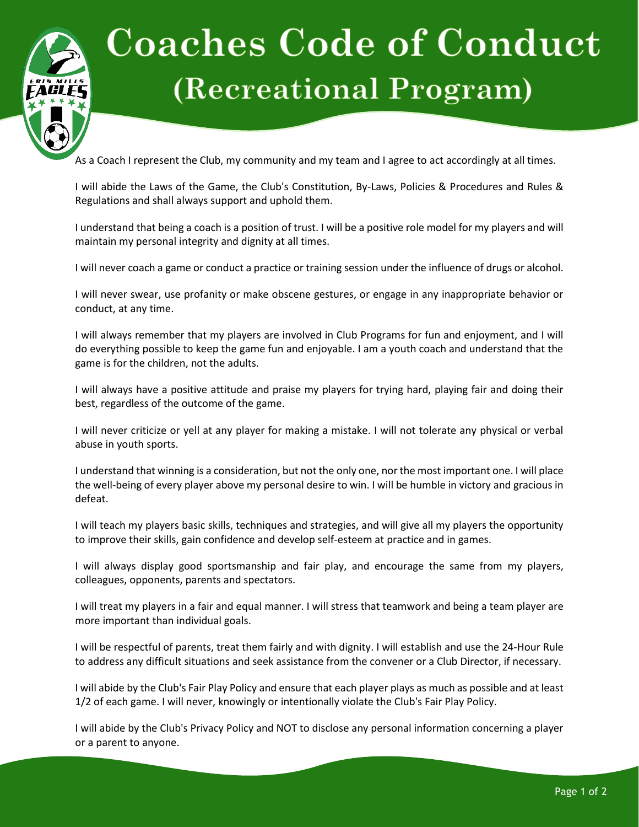

## **Coaches Code of Conduct** (Recreational Program)

As a Coach I represent the Club, my community and my team and I agree to act accordingly at all times.

I will abide the Laws of the Game, the Club's Constitution, By-Laws, Policies & Procedures and Rules & Regulations and shall always support and uphold them.

I understand that being a coach is a position of trust. I will be a positive role model for my players and will maintain my personal integrity and dignity at all times.

I will never coach a game or conduct a practice or training session under the influence of drugs or alcohol.

I will never swear, use profanity or make obscene gestures, or engage in any inappropriate behavior or conduct, at any time.

I will always remember that my players are involved in Club Programs for fun and enjoyment, and I will do everything possible to keep the game fun and enjoyable. I am a youth coach and understand that the game is for the children, not the adults.

I will always have a positive attitude and praise my players for trying hard, playing fair and doing their best, regardless of the outcome of the game.

I will never criticize or yell at any player for making a mistake. I will not tolerate any physical or verbal abuse in youth sports.

I understand that winning is a consideration, but not the only one, nor the most important one. I will place the well-being of every player above my personal desire to win. I will be humble in victory and gracious in defeat.

I will teach my players basic skills, techniques and strategies, and will give all my players the opportunity to improve their skills, gain confidence and develop self-esteem at practice and in games.

I will always display good sportsmanship and fair play, and encourage the same from my players, colleagues, opponents, parents and spectators.

I will treat my players in a fair and equal manner. I will stress that teamwork and being a team player are more important than individual goals.

I will be respectful of parents, treat them fairly and with dignity. I will establish and use the 24-Hour Rule to address any difficult situations and seek assistance from the convener or a Club Director, if necessary.

I will abide by the Club's Fair Play Policy and ensure that each player plays as much as possible and at least 1/2 of each game. I will never, knowingly or intentionally violate the Club's Fair Play Policy.

I will abide by the Club's Privacy Policy and NOT to disclose any personal information concerning a player or a parent to anyone.